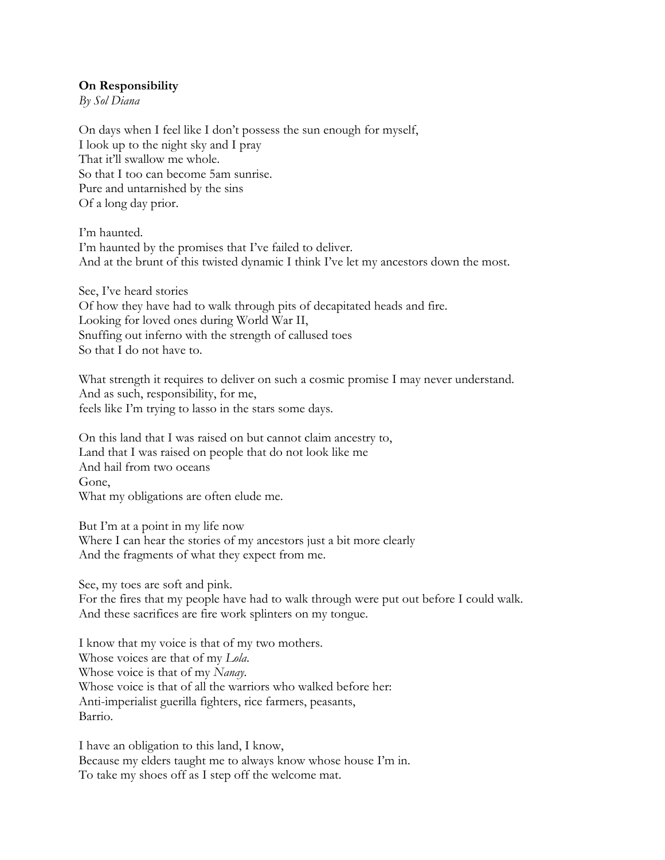## **On Responsibility**

*By Sol Diana*

On days when I feel like I don't possess the sun enough for myself, I look up to the night sky and I pray That it'll swallow me whole. So that I too can become 5am sunrise. Pure and untarnished by the sins Of a long day prior.

I'm haunted. I'm haunted by the promises that I've failed to deliver. And at the brunt of this twisted dynamic I think I've let my ancestors down the most.

See, I've heard stories Of how they have had to walk through pits of decapitated heads and fire. Looking for loved ones during World War II, Snuffing out inferno with the strength of callused toes So that I do not have to.

What strength it requires to deliver on such a cosmic promise I may never understand. And as such, responsibility, for me, feels like I'm trying to lasso in the stars some days.

On this land that I was raised on but cannot claim ancestry to, Land that I was raised on people that do not look like me And hail from two oceans Gone, What my obligations are often elude me.

But I'm at a point in my life now Where I can hear the stories of my ancestors just a bit more clearly And the fragments of what they expect from me.

See, my toes are soft and pink.

For the fires that my people have had to walk through were put out before I could walk. And these sacrifices are fire work splinters on my tongue.

I know that my voice is that of my two mothers. Whose voices are that of my *Lola*. Whose voice is that of my *Nanay.* Whose voice is that of all the warriors who walked before her: Anti-imperialist guerilla fighters, rice farmers, peasants, Barrio.

I have an obligation to this land, I know, Because my elders taught me to always know whose house I'm in. To take my shoes off as I step off the welcome mat.